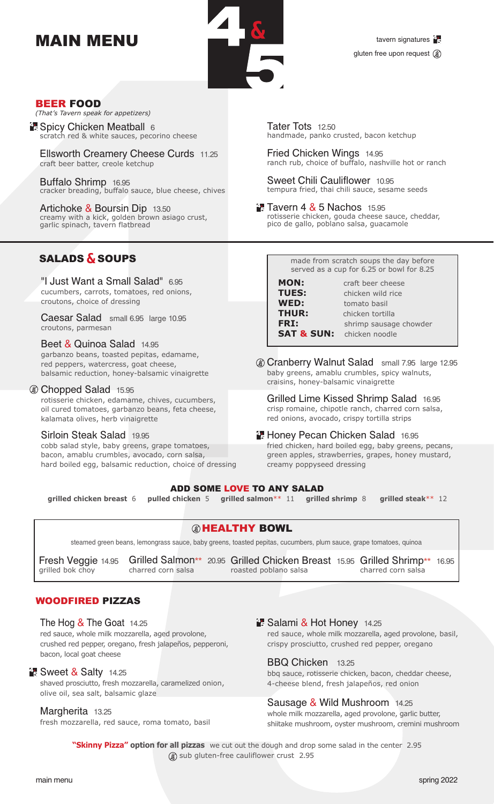# MAIN MENU



## BEER FOOD

*(That's Tavern speak for appetizers)*

**Spicy Chicken Meatball 6** scratch red & white sauces, pecorino cheese

Ellsworth Creamery Cheese Curds 11.25 craft beer batter, creole ketchup

Buffalo Shrimp 16.95 cracker breading, buffalo sauce, blue cheese, chives

Artichoke & Boursin Dip 13.50 creamy with a kick, golden brown asiago crust, garlic spinach, tavern flatbread

# **SALADS & SOUPS**

## "I Just Want a Small Salad" 6.95

cucumbers, carrots, tomatoes, red onions, croutons, choice of dressing

Caesar Salad small 6.95 large 10.95 croutons, parmesan

#### Beet & Quinoa Salad 14.95

garbanzo beans, toasted pepitas, edamame, red peppers, watercress, goat cheese, balsamic reduction, honey-balsamic vinaigrette

#### **Chopped Salad 15.95**

rotisserie chicken, edamame, chives, cucumbers, oil cured tomatoes, garbanzo beans, feta cheese, kalamata olives, herb vinaigrette

#### Sirloin Steak Salad 19.95

cobb salad style, baby greens, grape tomatoes, bacon, amablu crumbles, avocado, corn salsa, hard boiled egg, balsamic reduction, choice of dressing

#### Tater Tots 12.50 handmade, panko crusted, bacon ketchup

Fried Chicken Wings 14.95 ranch rub, choice of buffalo, nashville hot or ranch

Sweet Chili Cauliflower 10.95 tempura fried, thai chili sauce, sesame seeds

 $T$  Tavern 4 & 5 Nachos 15.95 rotisserie chicken, gouda cheese sauce, cheddar, pico de gallo, poblano salsa, guacamole

> made from scratch soups the day before served as a cup for 6.25 or bowl for 8.25

**MON:** craft beer cheese **TUES:** chicken wild rice **WED:** tomato basil **THUR:** chicken tortilla **SAT & SUN:** chicken noodle

**FRI:** shrimp sausage chowder

Cranberry Walnut Salad small 7.95 large 12.95 baby greens, amablu crumbles, spicy walnuts, craisins, honey-balsamic vinaigrette

Grilled Lime Kissed Shrimp Salad 16.95 crisp romaine, chipotle ranch, charred corn salsa, red onions, avocado, crispy tortilla strips

**Honey Pecan Chicken Salad** 16.95 fried chicken, hard boiled egg, baby greens, pecans, green apples, strawberries, grapes, honey mustard, creamy poppyseed dressing

## ADD SOME LOVE TO ANY SALAD

**grilled chicken breast** 6 **pulled chicken** 5 **grilled salmon**\*\* 11 **grilled shrimp** 8 **grilled steak**\*\* 12

## **<b>@HEALTHY BOWL**

steamed green beans, lemongrass sauce, baby greens, toasted pepitas, cucumbers, plum sauce, grape tomatoes, quinoa

Fresh Veggie 14.95 grilled bok choy Grilled Salmon\*\* 20.95 Grilled Chicken Breast 15.95 Grilled Shrimp\*\* 16.95 roasted poblano salsa charred corn salsa charred corn salsa

# WOODFIRED PIZZAS

#### The Hog  $\&$  The Goat 14.25

red sauce, whole milk mozzarella, aged provolone, crushed red pepper, oregano, fresh jalapeños, pepperoni, bacon, local goat cheese

#### $\mathbb{Z}$  Sweet & Salty 14.25

shaved prosciutto, fresh mozzarella, caramelized onion, olive oil, sea salt, balsamic glaze

#### Margherita 13.25

fresh mozzarella, red sauce, roma tomato, basil

## Salami & Hot Honey 14.25

red sauce, whole milk mozzarella, aged provolone, basil, crispy prosciutto, crushed red pepper, oregano

#### BBQ Chicken 13.25

bbq sauce, rotisserie chicken, bacon, cheddar cheese, 4-cheese blend, fresh jalapeños, red onion

Sausage & Wild Mushroom 14.25

whole milk mozzarella, aged provolone, garlic butter, shiitake mushroom, oyster mushroom, cremini mushroom

sub gluten-free cauliflower crust 2.95 **"Skinny Pizza" option for all pizzas** we cut out the dough and drop some salad in the center 2.95